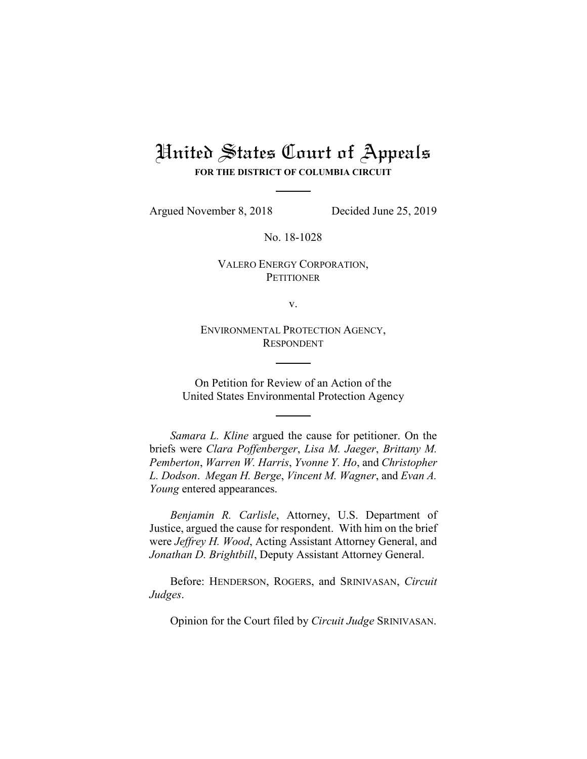## United States Court of Appeals **FOR THE DISTRICT OF COLUMBIA CIRCUIT**

Argued November 8, 2018 Decided June 25, 2019

No. 18-1028

VALERO ENERGY CORPORATION, **PETITIONER** 

v.

ENVIRONMENTAL PROTECTION AGENCY, RESPONDENT

On Petition for Review of an Action of the United States Environmental Protection Agency

*Samara L. Kline* argued the cause for petitioner. On the briefs were *Clara Poffenberger*, *Lisa M. Jaeger*, *Brittany M. Pemberton*, *Warren W. Harris*, *Yvonne Y. Ho*, and *Christopher L. Dodson*. *Megan H. Berge*, *Vincent M. Wagner*, and *Evan A. Young* entered appearances.

*Benjamin R. Carlisle*, Attorney, U.S. Department of Justice, argued the cause for respondent. With him on the brief were *Jeffrey H. Wood*, Acting Assistant Attorney General, and *Jonathan D. Brightbill*, Deputy Assistant Attorney General.

Before: HENDERSON, ROGERS, and SRINIVASAN, *Circuit Judges*.

Opinion for the Court filed by *Circuit Judge* SRINIVASAN.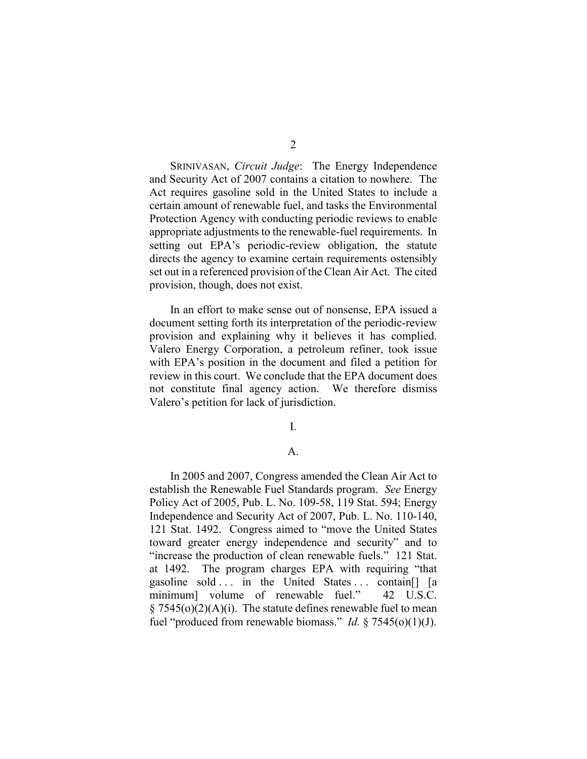SRINIVASAN, *Circuit Judge*: The Energy Independence and Security Act of 2007 contains a citation to nowhere. The Act requires gasoline sold in the United States to include a certain amount of renewable fuel, and tasks the Environmental Protection Agency with conducting periodic reviews to enable appropriate adjustments to the renewable-fuel requirements. In setting out EPA's periodic-review obligation, the statute directs the agency to examine certain requirements ostensibly set out in a referenced provision of the Clean Air Act. The cited provision, though, does not exist.

In an effort to make sense out of nonsense, EPA issued a document setting forth its interpretation of the periodic-review provision and explaining why it believes it has complied. Valero Energy Corporation, a petroleum refiner, took issue with EPA's position in the document and filed a petition for review in this court. We conclude that the EPA document does not constitute final agency action. We therefore dismiss Valero's petition for lack of jurisdiction.

I.

## A.

In 2005 and 2007, Congress amended the Clean Air Act to establish the Renewable Fuel Standards program. *See* Energy Policy Act of 2005, Pub. L. No. 109-58, 119 Stat. 594; Energy Independence and Security Act of 2007, Pub. L. No. 110-140, 121 Stat. 1492. Congress aimed to "move the United States toward greater energy independence and security" and to "increase the production of clean renewable fuels." 121 Stat. at 1492. The program charges EPA with requiring "that gasoline sold ... in the United States ... contain<sup>[]</sup> [a minimum] volume of renewable fuel." 42 U.S.C.  $\S$  7545(o)(2)(A)(i). The statute defines renewable fuel to mean fuel "produced from renewable biomass." *Id.* § 7545(o)(1)(J).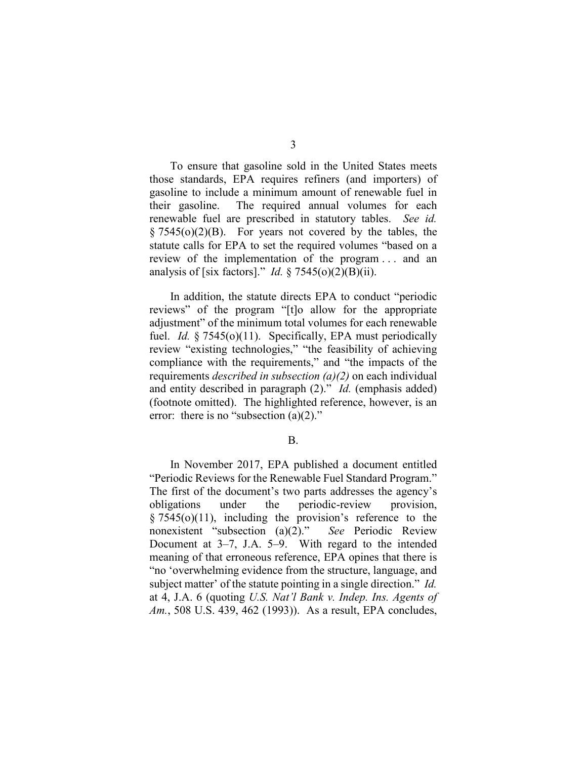3

To ensure that gasoline sold in the United States meets those standards, EPA requires refiners (and importers) of gasoline to include a minimum amount of renewable fuel in their gasoline. The required annual volumes for each renewable fuel are prescribed in statutory tables. *See id.*  $\S 7545(o)(2)(B)$ . For years not covered by the tables, the statute calls for EPA to set the required volumes "based on a review of the implementation of the program . . . and an analysis of [six factors]." *Id.* § 7545(o)(2)(B)(ii).

In addition, the statute directs EPA to conduct "periodic reviews" of the program "[t]o allow for the appropriate adjustment" of the minimum total volumes for each renewable fuel. *Id.* § 7545(o)(11). Specifically, EPA must periodically review "existing technologies," "the feasibility of achieving compliance with the requirements," and "the impacts of the requirements *described in subsection (a)(2)* on each individual and entity described in paragraph (2)." *Id.* (emphasis added) (footnote omitted). The highlighted reference, however, is an error: there is no "subsection  $(a)(2)$ ."

B.

In November 2017, EPA published a document entitled "Periodic Reviews for the Renewable Fuel Standard Program." The first of the document's two parts addresses the agency's obligations under the periodic-review provision,  $§ 7545(0)(11)$ , including the provision's reference to the nonexistent "subsection (a)(2)." *See* Periodic Review Document at 3–7, J.A. 5–9. With regard to the intended meaning of that erroneous reference, EPA opines that there is "no 'overwhelming evidence from the structure, language, and subject matter' of the statute pointing in a single direction." *Id.* at 4, J.A. 6 (quoting *U.S. Nat'l Bank v. Indep. Ins. Agents of Am.*, 508 U.S. 439, 462 (1993)). As a result, EPA concludes,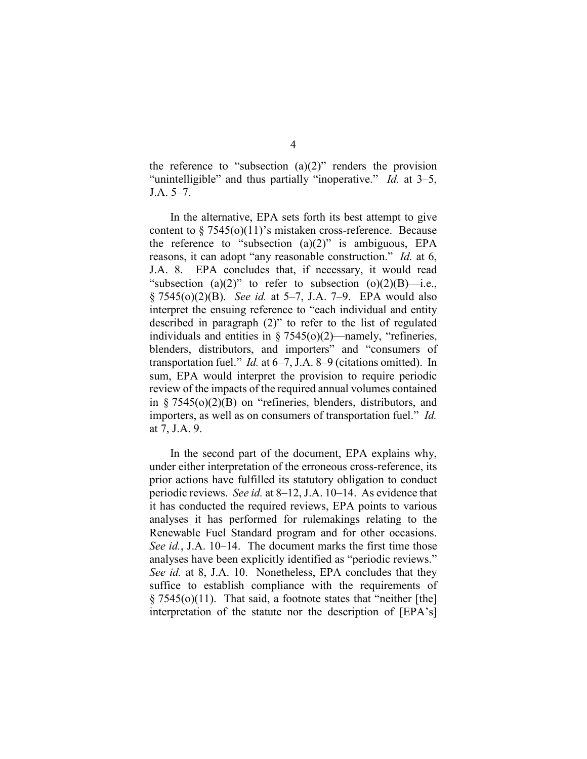the reference to "subsection  $(a)(2)$ " renders the provision "unintelligible" and thus partially "inoperative." *Id.* at 3–5, J.A. 5–7.

In the alternative, EPA sets forth its best attempt to give content to  $\S 7545(0)(11)$ 's mistaken cross-reference. Because the reference to "subsection  $(a)(2)$ " is ambiguous, EPA reasons, it can adopt "any reasonable construction." *Id.* at 6, J.A. 8. EPA concludes that, if necessary, it would read "subsection (a)(2)" to refer to subsection (o)(2)(B)—i.e., § 7545(o)(2)(B). *See id.* at 5–7, J.A. 7–9. EPA would also interpret the ensuing reference to "each individual and entity described in paragraph (2)" to refer to the list of regulated individuals and entities in § 7545(o)(2)—namely, "refineries, blenders, distributors, and importers" and "consumers of transportation fuel." *Id.* at 6–7, J.A. 8–9 (citations omitted). In sum, EPA would interpret the provision to require periodic review of the impacts of the required annual volumes contained in § 7545(o)(2)(B) on "refineries, blenders, distributors, and importers, as well as on consumers of transportation fuel." *Id.* at 7, J.A. 9.

In the second part of the document, EPA explains why, under either interpretation of the erroneous cross-reference, its prior actions have fulfilled its statutory obligation to conduct periodic reviews. *See id.* at 8–12, J.A. 10–14. As evidence that it has conducted the required reviews, EPA points to various analyses it has performed for rulemakings relating to the Renewable Fuel Standard program and for other occasions. *See id.*, J.A. 10–14. The document marks the first time those analyses have been explicitly identified as "periodic reviews." *See id.* at 8, J.A. 10. Nonetheless, EPA concludes that they suffice to establish compliance with the requirements of  $\S 7545<sub>o</sub>(<sub>o</sub>)(11)$ . That said, a footnote states that "neither [the] interpretation of the statute nor the description of [EPA's]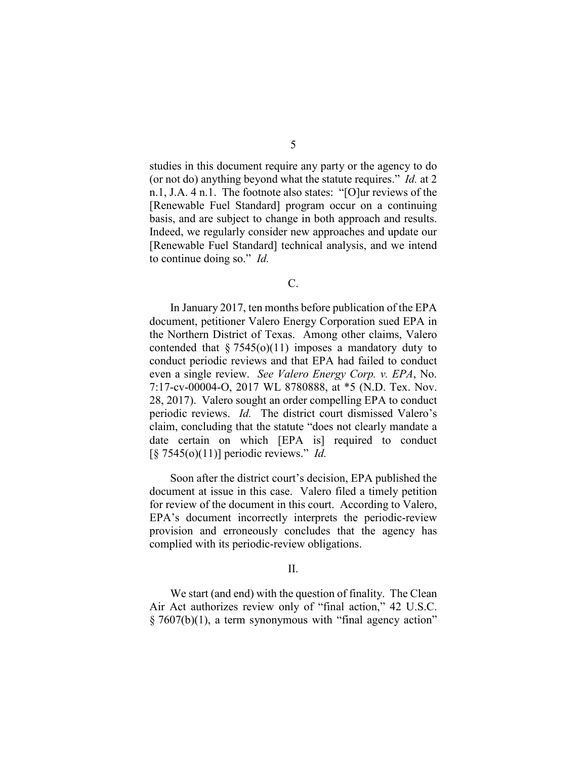studies in this document require any party or the agency to do (or not do) anything beyond what the statute requires." *Id.* at 2 n.1, J.A. 4 n.1. The footnote also states: "[O]ur reviews of the [Renewable Fuel Standard] program occur on a continuing basis, and are subject to change in both approach and results. Indeed, we regularly consider new approaches and update our [Renewable Fuel Standard] technical analysis, and we intend to continue doing so." *Id.*

C.

In January 2017, ten months before publication of the EPA document, petitioner Valero Energy Corporation sued EPA in the Northern District of Texas. Among other claims, Valero contended that  $\S 7545(0)(11)$  imposes a mandatory duty to conduct periodic reviews and that EPA had failed to conduct even a single review. *See Valero Energy Corp. v. EPA*, No. 7:17-cv-00004-O, 2017 WL 8780888, at \*5 (N.D. Tex. Nov. 28, 2017). Valero sought an order compelling EPA to conduct periodic reviews. *Id.* The district court dismissed Valero's claim, concluding that the statute "does not clearly mandate a date certain on which [EPA is] required to conduct [§ 7545(o)(11)] periodic reviews." *Id.*

Soon after the district court's decision, EPA published the document at issue in this case. Valero filed a timely petition for review of the document in this court. According to Valero, EPA's document incorrectly interprets the periodic-review provision and erroneously concludes that the agency has complied with its periodic-review obligations.

II.

We start (and end) with the question of finality. The Clean Air Act authorizes review only of "final action," 42 U.S.C. § 7607(b)(1), a term synonymous with "final agency action"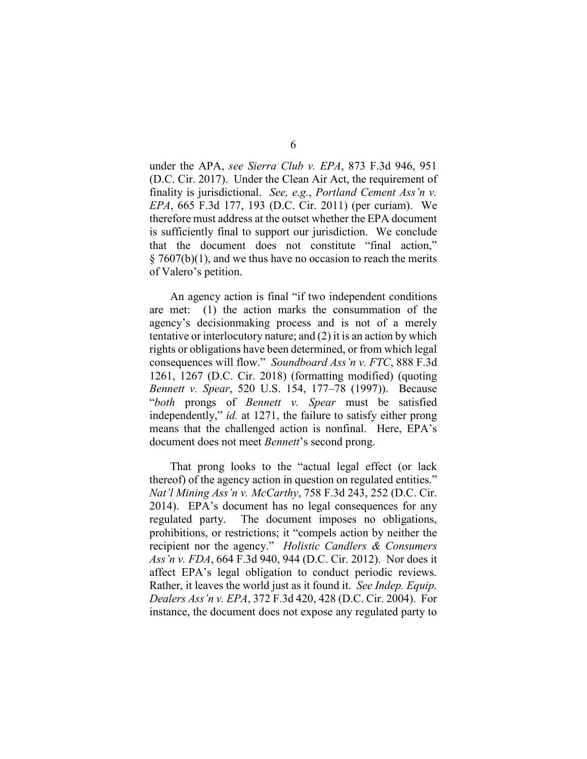under the APA, *see Sierra Club v. EPA*, 873 F.3d 946, 951 (D.C. Cir. 2017). Under the Clean Air Act, the requirement of finality is jurisdictional. *See, e.g.*, *Portland Cement Ass'n v. EPA*, 665 F.3d 177, 193 (D.C. Cir. 2011) (per curiam). We therefore must address at the outset whether the EPA document is sufficiently final to support our jurisdiction. We conclude that the document does not constitute "final action,"  $\S 7607(b)(1)$ , and we thus have no occasion to reach the merits of Valero's petition.

An agency action is final "if two independent conditions are met: (1) the action marks the consummation of the agency's decisionmaking process and is not of a merely tentative or interlocutory nature; and (2) it is an action by which rights or obligations have been determined, or from which legal consequences will flow." *Soundboard Ass'n v. FTC*, 888 F.3d 1261, 1267 (D.C. Cir. 2018) (formatting modified) (quoting *Bennett v. Spear*, 520 U.S. 154, 177–78 (1997)). Because "*both* prongs of *Bennett v. Spear* must be satisfied independently," *id.* at 1271, the failure to satisfy either prong means that the challenged action is nonfinal. Here, EPA's document does not meet *Bennett*'s second prong.

That prong looks to the "actual legal effect (or lack thereof) of the agency action in question on regulated entities." *Nat'l Mining Ass'n v. McCarthy*, 758 F.3d 243, 252 (D.C. Cir. 2014). EPA's document has no legal consequences for any regulated party. The document imposes no obligations, prohibitions, or restrictions; it "compels action by neither the recipient nor the agency." *Holistic Candlers & Consumers Ass'n v. FDA*, 664 F.3d 940, 944 (D.C. Cir. 2012). Nor does it affect EPA's legal obligation to conduct periodic reviews. Rather, it leaves the world just as it found it. *See Indep. Equip. Dealers Ass'n v. EPA*, 372 F.3d 420, 428 (D.C. Cir. 2004). For instance, the document does not expose any regulated party to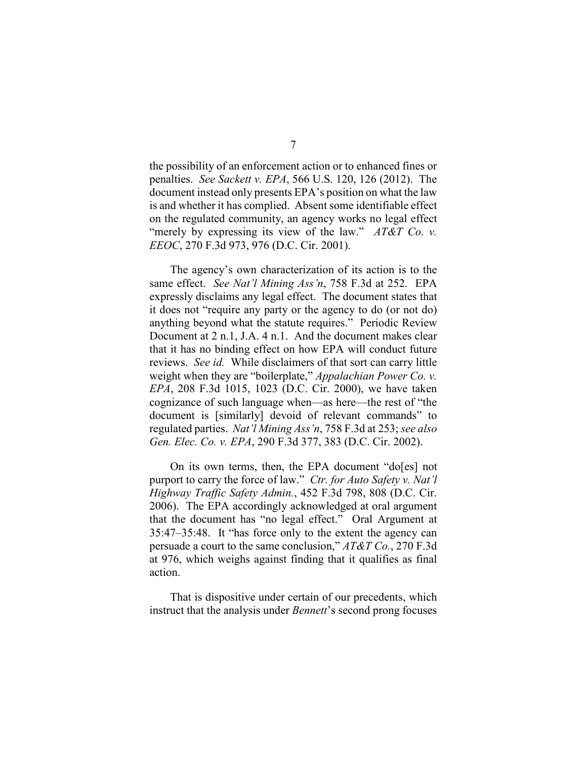the possibility of an enforcement action or to enhanced fines or penalties. *See Sackett v. EPA*, 566 U.S. 120, 126 (2012). The document instead only presents EPA's position on what the law is and whether it has complied. Absent some identifiable effect on the regulated community, an agency works no legal effect "merely by expressing its view of the law." *AT&T Co. v. EEOC*, 270 F.3d 973, 976 (D.C. Cir. 2001).

The agency's own characterization of its action is to the same effect. *See Nat'l Mining Ass'n*, 758 F.3d at 252. EPA expressly disclaims any legal effect. The document states that it does not "require any party or the agency to do (or not do) anything beyond what the statute requires." Periodic Review Document at 2 n.1, J.A. 4 n.1. And the document makes clear that it has no binding effect on how EPA will conduct future reviews. *See id.* While disclaimers of that sort can carry little weight when they are "boilerplate," *Appalachian Power Co. v. EPA*, 208 F.3d 1015, 1023 (D.C. Cir. 2000), we have taken cognizance of such language when—as here—the rest of "the document is [similarly] devoid of relevant commands" to regulated parties. *Nat'l Mining Ass'n*, 758 F.3d at 253; *see also Gen. Elec. Co. v. EPA*, 290 F.3d 377, 383 (D.C. Cir. 2002).

On its own terms, then, the EPA document "do[es] not purport to carry the force of law." *Ctr. for Auto Safety v. Nat'l Highway Traffic Safety Admin.*, 452 F.3d 798, 808 (D.C. Cir. 2006). The EPA accordingly acknowledged at oral argument that the document has "no legal effect." Oral Argument at 35:47–35:48. It "has force only to the extent the agency can persuade a court to the same conclusion," *AT&T Co.*, 270 F.3d at 976, which weighs against finding that it qualifies as final action.

That is dispositive under certain of our precedents, which instruct that the analysis under *Bennett*'s second prong focuses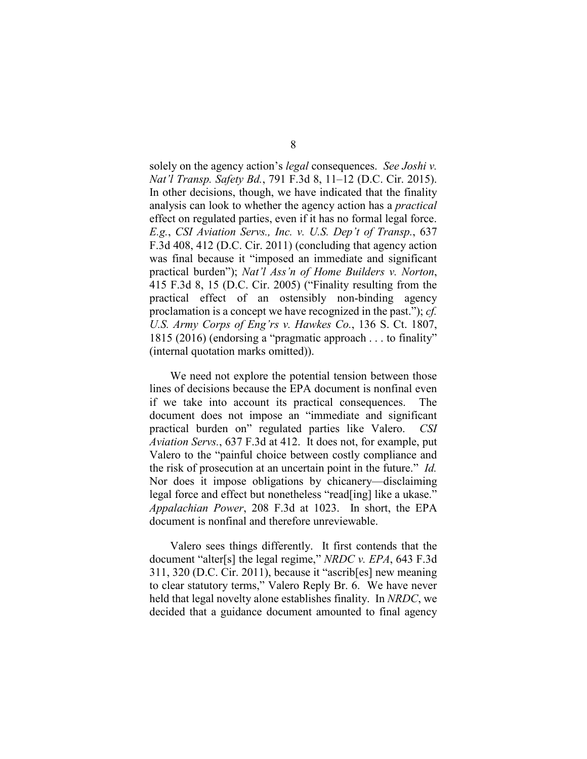solely on the agency action's *legal* consequences. *See Joshi v. Nat'l Transp. Safety Bd.*, 791 F.3d 8, 11–12 (D.C. Cir. 2015). In other decisions, though, we have indicated that the finality analysis can look to whether the agency action has a *practical* effect on regulated parties, even if it has no formal legal force. *E.g.*, *CSI Aviation Servs., Inc. v. U.S. Dep't of Transp.*, 637 F.3d 408, 412 (D.C. Cir. 2011) (concluding that agency action was final because it "imposed an immediate and significant practical burden"); *Nat'l Ass'n of Home Builders v. Norton*, 415 F.3d 8, 15 (D.C. Cir. 2005) ("Finality resulting from the practical effect of an ostensibly non-binding agency proclamation is a concept we have recognized in the past."); *cf. U.S. Army Corps of Eng'rs v. Hawkes Co.*, 136 S. Ct. 1807, 1815 (2016) (endorsing a "pragmatic approach . . . to finality" (internal quotation marks omitted)).

We need not explore the potential tension between those lines of decisions because the EPA document is nonfinal even if we take into account its practical consequences. The document does not impose an "immediate and significant practical burden on" regulated parties like Valero. *CSI Aviation Servs.*, 637 F.3d at 412. It does not, for example, put Valero to the "painful choice between costly compliance and the risk of prosecution at an uncertain point in the future." *Id.* Nor does it impose obligations by chicanery—disclaiming legal force and effect but nonetheless "read[ing] like a ukase." *Appalachian Power*, 208 F.3d at 1023. In short, the EPA document is nonfinal and therefore unreviewable.

Valero sees things differently. It first contends that the document "alter[s] the legal regime," *NRDC v. EPA*, 643 F.3d 311, 320 (D.C. Cir. 2011), because it "ascrib[es] new meaning to clear statutory terms," Valero Reply Br. 6. We have never held that legal novelty alone establishes finality. In *NRDC*, we decided that a guidance document amounted to final agency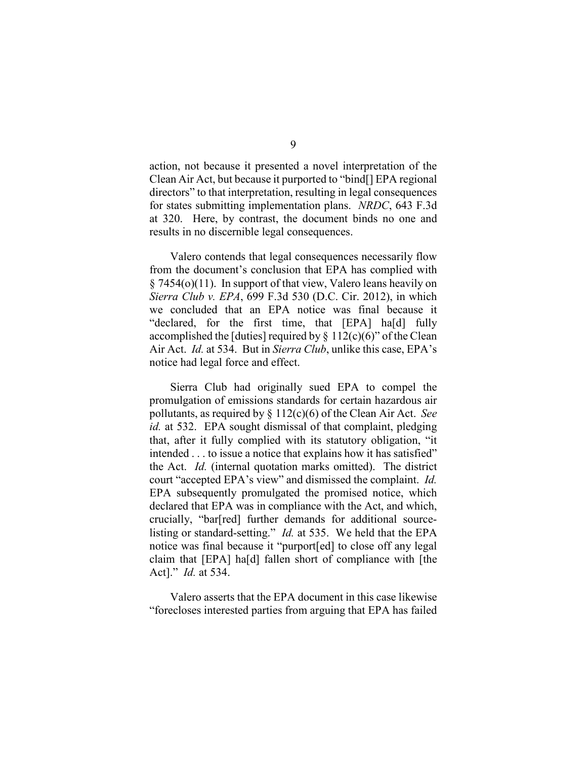action, not because it presented a novel interpretation of the Clean Air Act, but because it purported to "bind[] EPA regional directors" to that interpretation, resulting in legal consequences for states submitting implementation plans. *NRDC*, 643 F.3d at 320. Here, by contrast, the document binds no one and results in no discernible legal consequences.

Valero contends that legal consequences necessarily flow from the document's conclusion that EPA has complied with § 7454(o)(11). In support of that view, Valero leans heavily on *Sierra Club v. EPA*, 699 F.3d 530 (D.C. Cir. 2012), in which we concluded that an EPA notice was final because it "declared, for the first time, that [EPA] ha[d] fully accomplished the [duties] required by  $\S$  112(c)(6)" of the Clean Air Act. *Id.* at 534. But in *Sierra Club*, unlike this case, EPA's notice had legal force and effect.

Sierra Club had originally sued EPA to compel the promulgation of emissions standards for certain hazardous air pollutants, as required by § 112(c)(6) of the Clean Air Act. *See id.* at 532. EPA sought dismissal of that complaint, pledging that, after it fully complied with its statutory obligation, "it intended . . . to issue a notice that explains how it has satisfied" the Act. *Id.* (internal quotation marks omitted). The district court "accepted EPA's view" and dismissed the complaint. *Id.*  EPA subsequently promulgated the promised notice, which declared that EPA was in compliance with the Act, and which, crucially, "bar[red] further demands for additional sourcelisting or standard-setting." *Id.* at 535. We held that the EPA notice was final because it "purport[ed] to close off any legal claim that [EPA] ha[d] fallen short of compliance with [the Act]." *Id.* at 534.

Valero asserts that the EPA document in this case likewise "forecloses interested parties from arguing that EPA has failed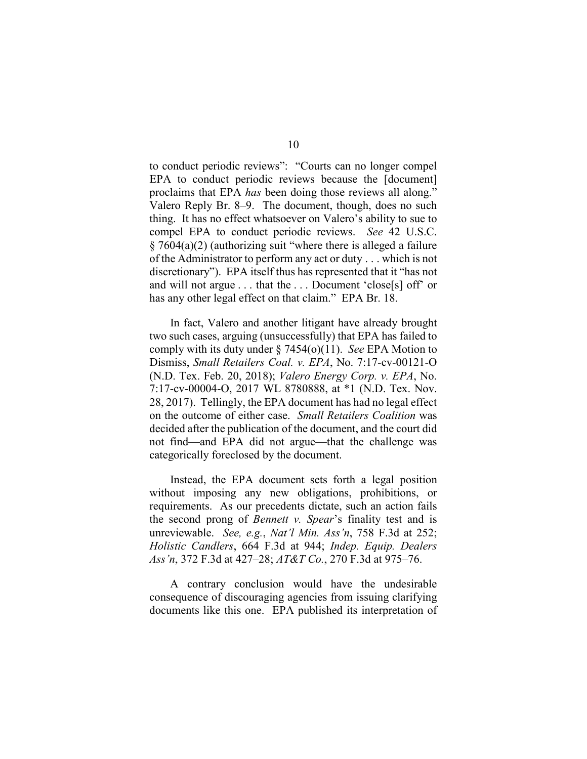to conduct periodic reviews": "Courts can no longer compel EPA to conduct periodic reviews because the [document] proclaims that EPA *has* been doing those reviews all along." Valero Reply Br. 8–9. The document, though, does no such thing. It has no effect whatsoever on Valero's ability to sue to compel EPA to conduct periodic reviews. *See* 42 U.S.C. § 7604(a)(2) (authorizing suit "where there is alleged a failure of the Administrator to perform any act or duty . . . which is not discretionary"). EPA itself thus has represented that it "has not and will not argue . . . that the . . . Document 'close[s] off' or has any other legal effect on that claim." EPA Br. 18.

In fact, Valero and another litigant have already brought two such cases, arguing (unsuccessfully) that EPA has failed to comply with its duty under § 7454(o)(11). *See* EPA Motion to Dismiss, *Small Retailers Coal. v. EPA*, No. 7:17-cv-00121-O (N.D. Tex. Feb. 20, 2018); *Valero Energy Corp. v. EPA*, No. 7:17-cv-00004-O, 2017 WL 8780888, at \*1 (N.D. Tex. Nov. 28, 2017). Tellingly, the EPA document has had no legal effect on the outcome of either case. *Small Retailers Coalition* was decided after the publication of the document, and the court did not find—and EPA did not argue—that the challenge was categorically foreclosed by the document.

Instead, the EPA document sets forth a legal position without imposing any new obligations, prohibitions, or requirements. As our precedents dictate, such an action fails the second prong of *Bennett v. Spear*'s finality test and is unreviewable. *See, e.g.*, *Nat'l Min. Ass'n*, 758 F.3d at 252; *Holistic Candlers*, 664 F.3d at 944; *Indep. Equip. Dealers Ass'n*, 372 F.3d at 427–28; *AT&T Co.*, 270 F.3d at 975–76.

A contrary conclusion would have the undesirable consequence of discouraging agencies from issuing clarifying documents like this one. EPA published its interpretation of